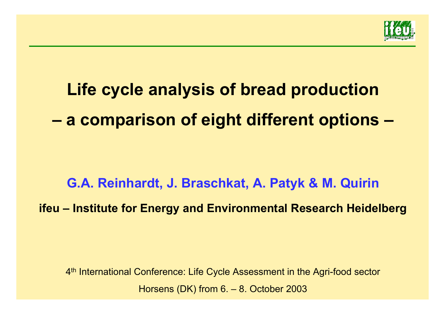

# **Life cycle analysis of bread production a comparison of eight different options –**

**G.A. Reinhardt, J. Braschkat, A. Patyk & M. Quirin ifeu – Institute for Energy and Environmental Research Heidelberg**

4th International Conference: Life Cycle Assessment in the Agri-food sector Horsens (DK) from 6. – 8. October 2003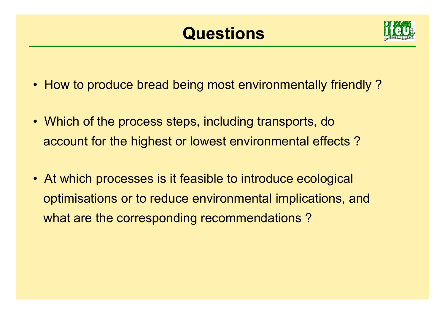## **Questions**



- How to produce bread being most environmentally friendly ?
- Which of the process steps, including transports, do account for the highest or lowest environmental effects ?
- At which processes is it feasible to introduce ecological optimisations or to reduce environmental implications, and what are the corresponding recommendations?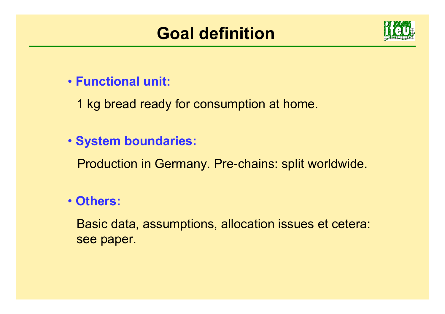## **Goal definition**



#### • **Functional unit:**

1 kg bread ready for consumption at home.

#### • **System boundaries:**

Production in Germany. Pre-chains: split worldwide.

#### • **Others:**

Basic data, assumptions, allocation issues et cetera: see paper.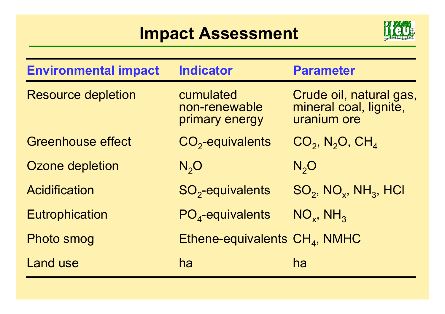## **Impact Assessment**



| <b>Environmental impact</b> | <b>Indicator</b>                             | <b>Parameter</b>                                                 |
|-----------------------------|----------------------------------------------|------------------------------------------------------------------|
| <b>Resource depletion</b>   | cumulated<br>non-renewable<br>primary energy | Crude oil, natural gas,<br>mineral coal, lignite,<br>uranium ore |
| <b>Greenhouse effect</b>    | $CO2$ -equivalents                           | $CO2$ , N <sub>2</sub> O, CH <sub>4</sub>                        |
| Ozone depletion             | N, O                                         | N, O                                                             |
| Acidification               | $SO2$ -equivalents                           | $SO_2$ , NO <sub>x</sub> , NH <sub>3</sub> , HCl                 |
| <b>Eutrophication</b>       | $PO4$ -equivalents                           | $NO_{x}$ , $NH_{3}$                                              |
| <b>Photo smog</b>           | Ethene-equivalents $CH4$ , NMHC              |                                                                  |
| <b>Land use</b>             | ha                                           | ha                                                               |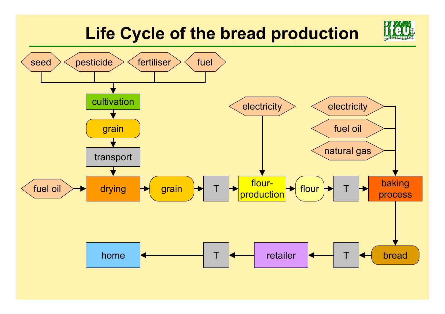## **Life Cycle of the bread production**

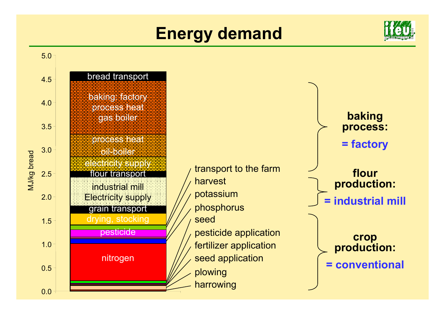## **Energy demand**



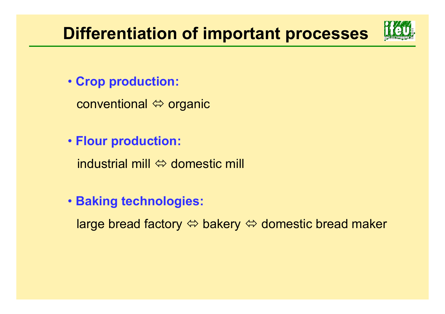## **Differentiation of important processes**



- **Crop production:** 
	- conventional Ù organic
- **Flour production:** 
	- industrial mill  $\Leftrightarrow$  domestic mill
- **Baking technologies:** 
	- large bread factory Ù bakery Ù domestic bread maker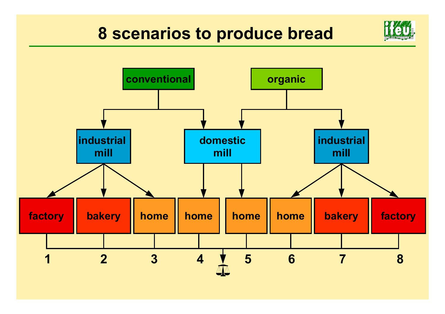## **8 scenarios to produce bread**



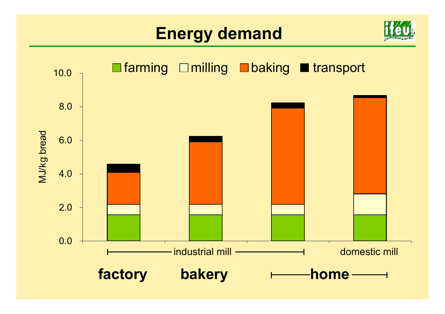## **Energy demand**



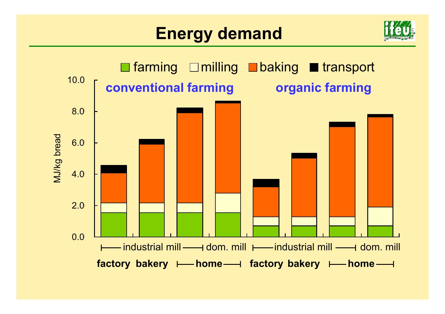## **Energy demand**



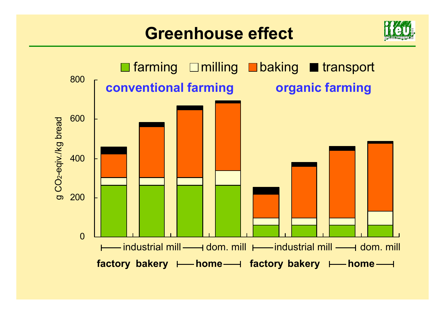#### **Greenhouse effect**



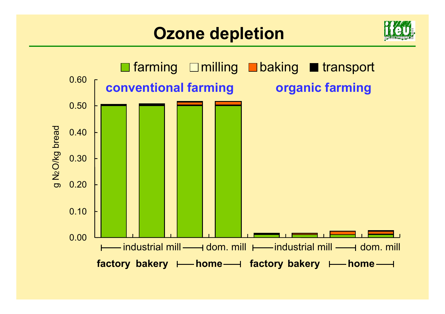#### **Ozone depletion**



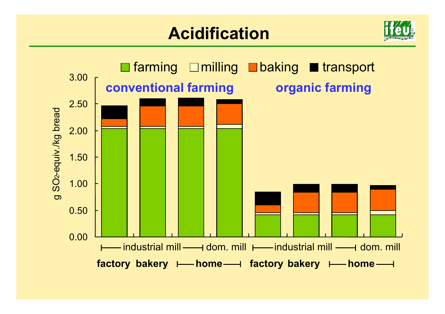## **Acidification**



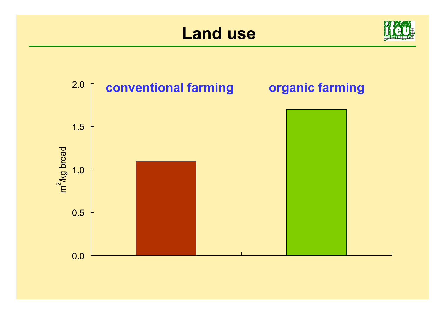#### **Land use**



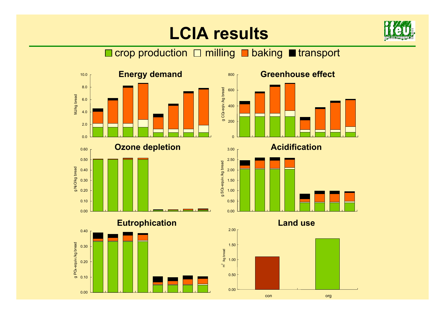## **LCIA results**



#### $\Box$  crop production  $\Box$  milling  $\Box$  baking  $\Box$  transport

3.00







**Land use**

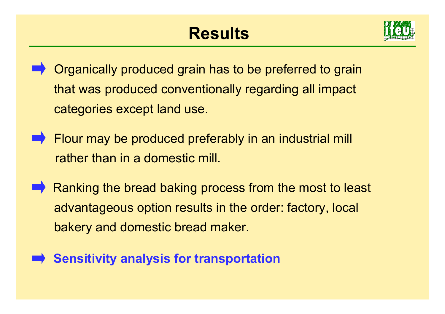

- Organically produced grain has to be preferred to grain that was produced conventionally regarding all impact categories except land use.
- $\rightarrow$  Flour may be produced preferably in an industrial mill rather than in a domestic mill.
- Ranking the bread baking process from the most to least advantageous option results in the order: factory, local bakery and domestic bread maker.
- **Sensitivity analysis for transportation**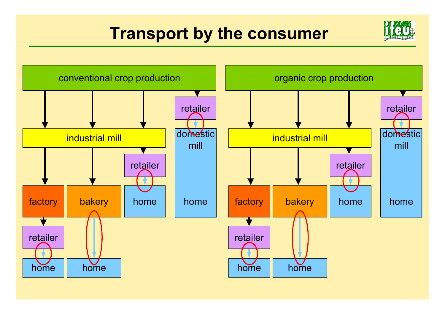## **Transport by the consumer**



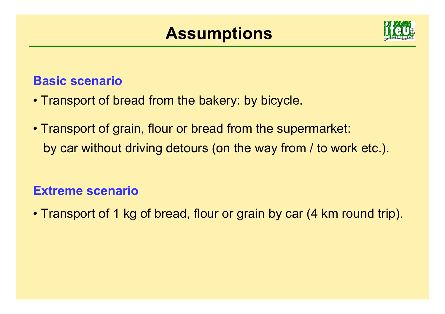#### **Assumptions**



#### **Basic scenario**

- Transport of bread from the bakery: by bicycle.
- Transport of grain, flour or bread from the supermarket: by car without driving detours (on the way from / to work etc.).

#### **Extreme scenario**

• Transport of 1 kg of bread, flour or grain by car (4 km round trip).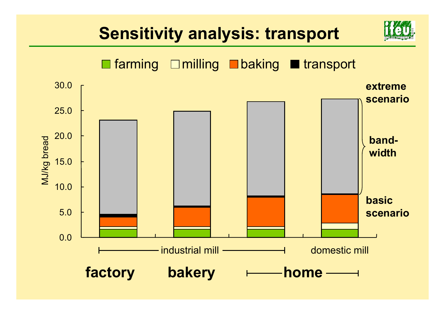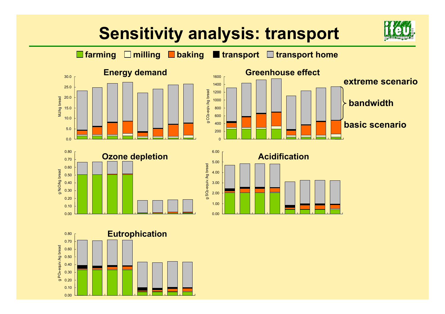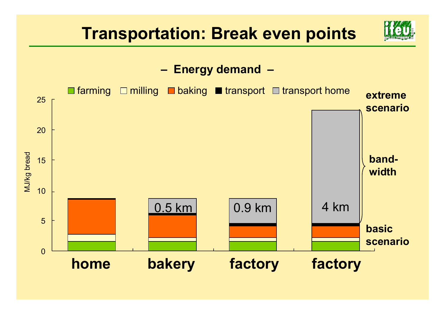

 **Energy demand –**

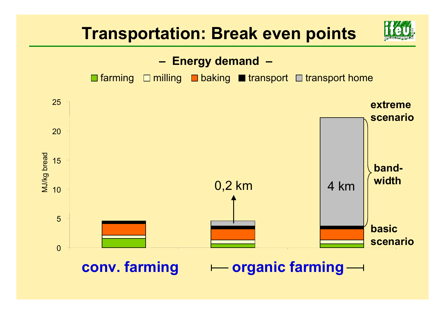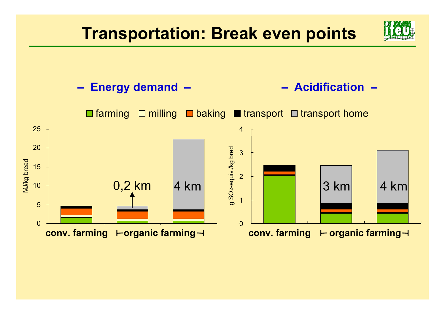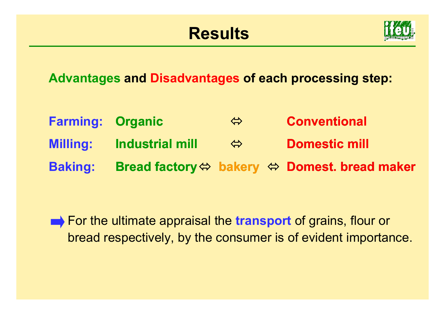## **Results**



**Advantages and Disadvantages of each processing step:**

**Organic Industrial mill**Bread factory⇔ bakery ⇔ Domest. bread maker  $\Leftrightarrow$  $\Leftrightarrow$ **ConventionalDomestic millFarming: Milling: Baking:**

For the ultimate appraisal the **transport** of grains, flour or bread respectively, by the consumer is of evident importance.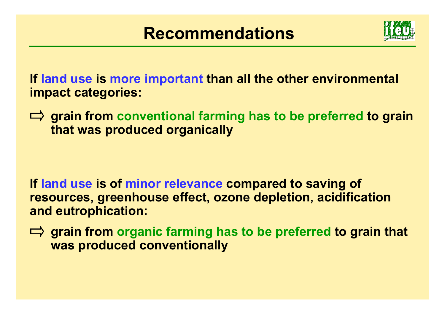

**If land use is more important than all the other environmental impact categories:**

 $\Rightarrow$  **grain from conventional farming has to be preferred to grain that was produced organically**

- **If land use is of minor relevance compared to saving of resources, greenhouse effect, ozone depletion, acidification and eutrophication:**
- **grain from organic farming has to be preferred to grain that was produced conventionally**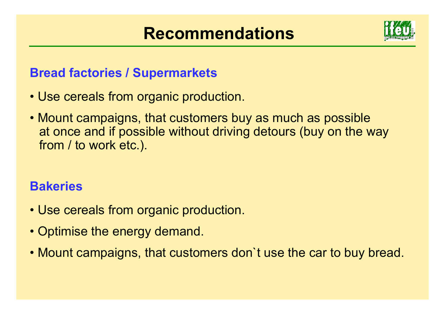## **Recommendations**



#### **Bread factories / Supermarkets**

- Use cereals from organic production.
- Mount campaigns, that customers buy as much as possible at once and if possible without driving detours (buy on the way from / to work etc.).

#### **Bakeries**

- Use cereals from organic production.
- Optimise the energy demand.
- Mount campaigns, that customers don`t use the car to buy bread.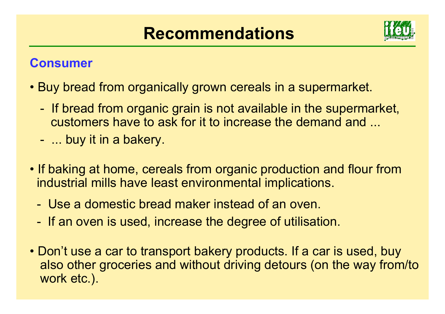## **Recommendations**



#### **Consumer**

- Buy bread from organically grown cereals in a supermarket.
	- - If bread from organic grain is not available in the supermarket, customers have to ask for it to increase the demand and ...
	- -... buy it in a bakery.
- If baking at home, cereals from organic production and flour from industrial mills have least environmental implications.
	- Use a domestic bread maker instead of an oven.
	- -If an oven is used, increase the degree of utilisation.
- Don't use a car to transport bakery products. If a car is used, buy also other groceries and without driving detours (on the way from/to work etc.).